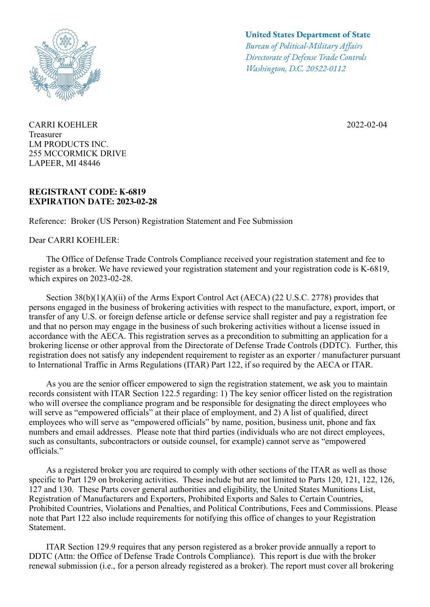

CARRI KOEHLER Treasurer LM PRODUCTS INC. 255 MCCORMICK DRIVE LAPEER, MI 48446

## **REGISTRANT CODE: K-6819 EXPIRATION DATE: 2023-02-28**

Reference: Broker (US Person) Registration Statement and Fee Submission

Dear CARRI KOEHLER:

## **United States Department of State**

*Bureau of Political-Military Afairs Directorate of Defense Trade Controls Washington, D.C. 20522-0112*

2022-02-04

 The Office of Defense Trade Controls Compliance received your registration statement and fee to register as a broker. We have reviewed your registration statement and your registration code is K-6819, which expires on 2023-02-28.

Section 38(b)(1)(A)(ii) of the Arms Export Control Act (AECA) (22 U.S.C. 2778) provides that persons engaged in the business of brokering activities with respect to the manufacture, export, import, or transfer of any U.S. or foreign defense article or defense service shall register and pay a registration fee and that no person may engage in the business of such brokering activities without a license issued in accordance with the AECA. This registration serves as a precondition to submitting an application for a brokering license or other approval from the Directorate of Defense Trade Controls (DDTC). Further, this registration does not satisfy any independent requirement to register as an exporter / manufacturer pursuant to International Traffic in Arms Regulations (ITAR) Part 122, if so required by the AECA or ITAR.

 As you are the senior officer empowered to sign the registration statement, we ask you to maintain records consistent with ITAR Section 122.5 regarding: 1) The key senior officer listed on the registration who will oversee the compliance program and be responsible for designating the direct employees who will serve as "empowered officials" at their place of employment, and 2) A list of qualified, direct employees who will serve as "empowered officials" by name, position, business unit, phone and fax numbers and email addresses. Please note that third parties (individuals who are not direct employees, such as consultants, subcontractors or outside counsel, for example) cannot serve as "empowered officials."

 As a registered broker you are required to comply with other sections of the ITAR as well as those specific to Part 129 on brokering activities. These include but are not limited to Parts 120, 121, 122, 126, 127 and 130. These Parts cover general authorities and eligibility, the United States Munitions List, Registration of Manufacturers and Exporters, Prohibited Exports and Sales to Certain Countries, Prohibited Countries, Violations and Penalties, and Political Contributions, Fees and Commissions. Please note that Part 122 also include requirements for notifying this office of changes to your Registration Statement.

 ITAR Section 129.9 requires that any person registered as a broker provide annually a report to DDTC (Attn: the Office of Defense Trade Controls Compliance). This report is due with the broker renewal submission (i.e., for a person already registered as a broker). The report must cover all brokering